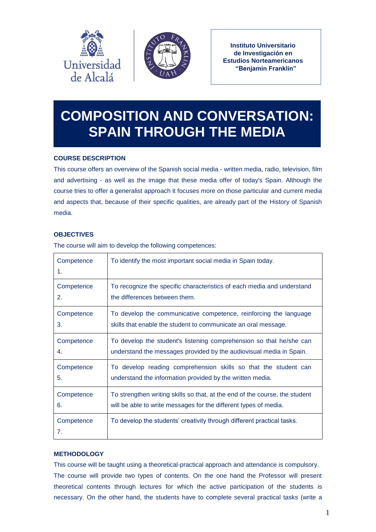



**Instituto Universitario de Investigación en Estudios Norteamericanos "Benjamin Franklin"**

# **COMPOSITION AND CONVERSATION: SPAIN THROUGH THE MEDIA**

# **COURSE DESCRIPTION**

This course offers an overview of the Spanish social media - written media, radio, television, film and advertising - as well as the image that these media offer of today's Spain. Although the course tries to offer a generalist approach it focuses more on those particular and current media and aspects that, because of their specific qualities, are already part of the History of Spanish media.

# **OBJECTIVES**

The course will aim to develop the following competences:

| Competence<br>1. | To identify the most important social media in Spain today.                 |
|------------------|-----------------------------------------------------------------------------|
| Competence       | To recognize the specific characteristics of each media and understand      |
| 2.               | the differences between them.                                               |
| Competence       | To develop the communicative competence, reinforcing the language           |
| 3.               | skills that enable the student to communicate an oral message.              |
| Competence       | To develop the student's listening comprehension so that he/she can         |
| 4.               | understand the messages provided by the audiovisual media in Spain.         |
| Competence       | To develop reading comprehension skills so that the student can             |
| 5.               | understand the information provided by the written media.                   |
| Competence       | To strengthen writing skills so that, at the end of the course, the student |
| 6.               | will be able to write messages for the different types of media.            |
| Competence<br>7. | To develop the students' creativity through different practical tasks.      |

# **METHODOLOGY**

This course will be taught using a theoretical-practical approach and attendance is compulsory. The course will provide two types of contents. On the one hand the Professor will present theoretical contents through lectures for which the active participation of the students is necessary. On the other hand, the students have to complete several practical tasks (write a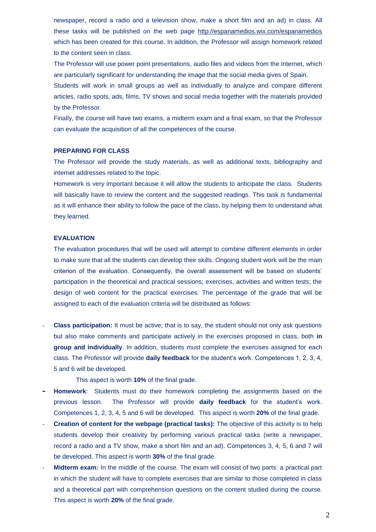newspaper, record a radio and a television show, make a short film and an ad) in class. All these tasks will be published on the web page<http://espanamedios.wix.com/espanamedios> which has been created for this course. In addition, the Professor will assign homework related to the content seen in class.

The Professor will use power point presentations, audio files and videos from the Internet, which are particularly significant for understanding the image that the social media gives of Spain.

Students will work in small groups as well as individually to analyze and compare different articles, radio spots, ads, films, TV shows and social media together with the materials provided by the Professor.

Finally, the course will have two exams, a midterm exam and a final exam, so that the Professor can evaluate the acquisition of all the competences of the course.

#### **PREPARING FOR CLASS**

The Professor will provide the study materials, as well as additional texts, bibliography and internet addresses related to the topic.

Homework is very important because it will allow the students to anticipate the class. Students will basically have to review the content and the suggested readings. This task is fundamental as it will enhance their ability to follow the pace of the class, by helping them to understand what they learned.

#### **EVALUATION**

The evaluation procedures that will be used will attempt to combine different elements in order to make sure that all the students can develop their skills. Ongoing student work will be the main criterion of the evaluation. Consequently, the overall assessment will be based on students' participation in the theoretical and practical sessions; exercises, activities and written tests; the design of web content for the practical exercises. The percentage of the grade that will be assigned to each of the evaluation criteria will be distributed as follows:

- **Class participation:** It must be active; that is to say, the student should not only ask questions but also make comments and participate actively in the exercises proposed in class, both **in group and individually**. In addition, students must complete the exercises assigned for each class. The Professor will provide **daily feedback** for the student's work. Competences 1, 2, 3, 4, 5 and 6 will be developed.

This aspect is worth **10%** of the final grade.

- **- Homework**: Students must do their homework completing the assignments based on the previous lesson. The Professor will provide **daily feedback** for the student's work. Competences 1, 2, 3, 4, 5 and 6 will be developed. This aspect is worth **20%** of the final grade.
- **Creation of content for the webpage (practical tasks):** The objective of this activity is to help students develop their creativity by performing various practical tasks (write a newspaper, record a radio and a TV show, make a short film and an ad). Competences 3, 4, 5, 6 and 7 will be developed. This aspect is worth **30%** of the final grade.
- **Midterm exam:** In the middle of the course. The exam will consist of two parts: a practical part in which the student will have to complete exercises that are similar to those completed in class and a theoretical part with comprehension questions on the content studied during the course. This aspect is worth **20%** of the final grade.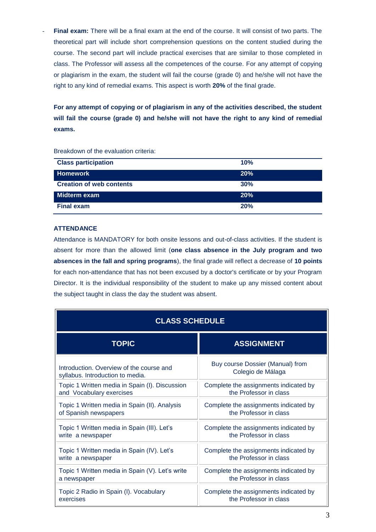Final exam: There will be a final exam at the end of the course. It will consist of two parts. The theoretical part will include short comprehension questions on the content studied during the course. The second part will include practical exercises that are similar to those completed in class. The Professor will assess all the competences of the course. For any attempt of copying or plagiarism in the exam, the student will fail the course (grade 0) and he/she will not have the right to any kind of remedial exams. This aspect is worth **20%** of the final grade.

**For any attempt of copying or of plagiarism in any of the activities described, the student will fail the course (grade 0) and he/she will not have the right to any kind of remedial exams.**

| <b>Class participation</b>      | 10% |
|---------------------------------|-----|
| <b>Homework</b>                 | 20% |
| <b>Creation of web contents</b> | 30% |
| Midterm exam                    | 20% |
| <b>Final exam</b>               | 20% |

Breakdown of the evaluation criteria:

## **ATTENDANCE**

Attendance is MANDATORY for both onsite lessons and out-of-class activities. If the student is absent for more than the allowed limit (**one class absence in the July program and two absences in the fall and spring programs**), the final grade will reflect a decrease of **10 points** for each non-attendance that has not been excused by a doctor's certificate or by your Program Director. It is the individual responsibility of the student to make up any missed content about the subject taught in class the day the student was absent.

| <b>CLASS SCHEDULE</b>                           |                                       |  |  |
|-------------------------------------------------|---------------------------------------|--|--|
| <b>TOPIC</b>                                    | <b>ASSIGNMENT</b>                     |  |  |
| Introduction. Overview of the course and        | Buy course Dossier (Manual) from      |  |  |
| syllabus. Introduction to media.                | Colegio de Málaga                     |  |  |
| Topic 1 Written media in Spain (I). Discussion  | Complete the assignments indicated by |  |  |
| and Vocabulary exercises                        | the Professor in class                |  |  |
| Topic 1 Written media in Spain (II). Analysis   | Complete the assignments indicated by |  |  |
| of Spanish newspapers                           | the Professor in class                |  |  |
| Topic 1 Written media in Spain (III). Let's     | Complete the assignments indicated by |  |  |
| write a newspaper                               | the Professor in class                |  |  |
| Topic 1 Written media in Spain (IV). Let's      | Complete the assignments indicated by |  |  |
| write a newspaper                               | the Professor in class                |  |  |
| Topic 1 Written media in Spain (V). Let's write | Complete the assignments indicated by |  |  |
| a newspaper                                     | the Professor in class                |  |  |
| Topic 2 Radio in Spain (I). Vocabulary          | Complete the assignments indicated by |  |  |
| exercises                                       | the Professor in class                |  |  |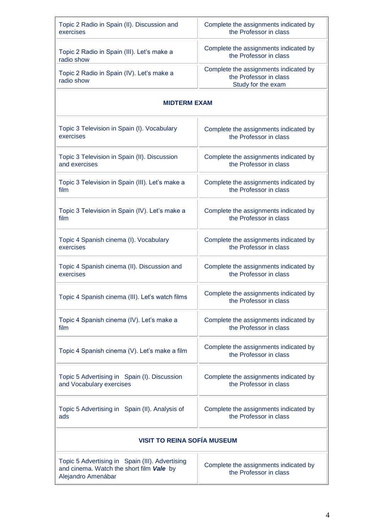| Topic 2 Radio in Spain (II). Discussion and                                                                       | Complete the assignments indicated by                                                 |  |  |  |
|-------------------------------------------------------------------------------------------------------------------|---------------------------------------------------------------------------------------|--|--|--|
| exercises                                                                                                         | the Professor in class                                                                |  |  |  |
| Topic 2 Radio in Spain (III). Let's make a                                                                        | Complete the assignments indicated by                                                 |  |  |  |
| radio show                                                                                                        | the Professor in class                                                                |  |  |  |
| Topic 2 Radio in Spain (IV). Let's make a<br>radio show                                                           | Complete the assignments indicated by<br>the Professor in class<br>Study for the exam |  |  |  |
| <b>MIDTERM EXAM</b>                                                                                               |                                                                                       |  |  |  |
| Topic 3 Television in Spain (I). Vocabulary                                                                       | Complete the assignments indicated by                                                 |  |  |  |
| exercises                                                                                                         | the Professor in class                                                                |  |  |  |
| Topic 3 Television in Spain (II). Discussion                                                                      | Complete the assignments indicated by                                                 |  |  |  |
| and exercises                                                                                                     | the Professor in class                                                                |  |  |  |
| Topic 3 Television in Spain (III). Let's make a                                                                   | Complete the assignments indicated by                                                 |  |  |  |
| film                                                                                                              | the Professor in class                                                                |  |  |  |
| Topic 3 Television in Spain (IV). Let's make a                                                                    | Complete the assignments indicated by                                                 |  |  |  |
| film                                                                                                              | the Professor in class                                                                |  |  |  |
| Topic 4 Spanish cinema (I). Vocabulary                                                                            | Complete the assignments indicated by                                                 |  |  |  |
| exercises                                                                                                         | the Professor in class                                                                |  |  |  |
| Topic 4 Spanish cinema (II). Discussion and                                                                       | Complete the assignments indicated by                                                 |  |  |  |
| exercises                                                                                                         | the Professor in class                                                                |  |  |  |
| Topic 4 Spanish cinema (III). Let's watch films                                                                   | Complete the assignments indicated by<br>the Professor in class                       |  |  |  |
| Topic 4 Spanish cinema (IV). Let's make a                                                                         | Complete the assignments indicated by                                                 |  |  |  |
| film                                                                                                              | the Professor in class                                                                |  |  |  |
| Topic 4 Spanish cinema (V). Let's make a film                                                                     | Complete the assignments indicated by<br>the Professor in class                       |  |  |  |
| Topic 5 Advertising in Spain (I). Discussion                                                                      | Complete the assignments indicated by                                                 |  |  |  |
| and Vocabulary exercises                                                                                          | the Professor in class                                                                |  |  |  |
| Topic 5 Advertising in Spain (II). Analysis of                                                                    | Complete the assignments indicated by                                                 |  |  |  |
| ads                                                                                                               | the Professor in class                                                                |  |  |  |
| <b>VISIT TO REINA SOFÍA MUSEUM</b>                                                                                |                                                                                       |  |  |  |
| Topic 5 Advertising in Spain (III). Advertising<br>and cinema. Watch the short film Vale by<br>Alejandro Amenábar | Complete the assignments indicated by<br>the Professor in class                       |  |  |  |